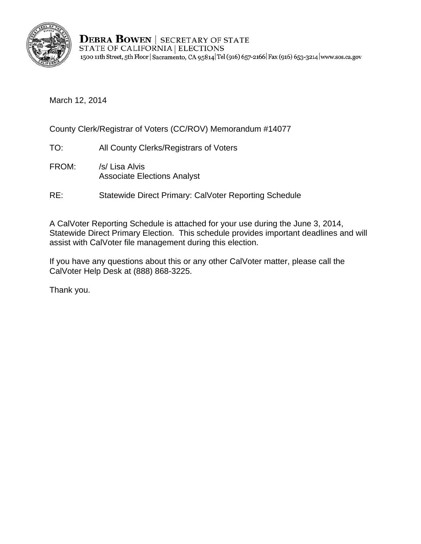

**DEBRA BOWEN | SECRETARY OF STATE** STATE OF CALIFORNIA | ELECTIONS 1500 11th Street, 5th Floor | Sacramento, CA 95814 | Tel (916) 657-2166 | Fax (916) 653-3214 | www.sos.ca.gov

March 12, 2014

County Clerk/Registrar of Voters (CC/ROV) Memorandum #14077

- TO: All County Clerks/Registrars of Voters
- FROM: /s/ Lisa Alvis Associate Elections Analyst
- RE: Statewide Direct Primary: CalVoter Reporting Schedule

A CalVoter Reporting Schedule is attached for your use during the June 3, 2014, Statewide Direct Primary Election. This schedule provides important deadlines and will assist with CalVoter file management during this election.

If you have any questions about this or any other CalVoter matter, please call the CalVoter Help Desk at (888) 868-3225.

Thank you.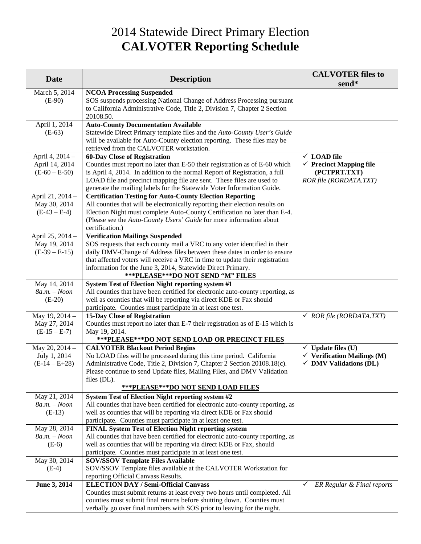## 2014 Statewide Direct Primary Election **CALVOTER Reporting Schedule**

| <b>Date</b>                    | <b>Description</b>                                                                                                                                                                      | <b>CALVOTER files to</b><br>send*      |
|--------------------------------|-----------------------------------------------------------------------------------------------------------------------------------------------------------------------------------------|----------------------------------------|
| March 5, 2014<br>$(E-90)$      | <b>NCOA Processing Suspended</b><br>SOS suspends processing National Change of Address Processing pursuant<br>to California Administrative Code, Title 2, Division 7, Chapter 2 Section |                                        |
|                                | 20108.50.                                                                                                                                                                               |                                        |
| April 1, 2014                  | <b>Auto-County Documentation Available</b>                                                                                                                                              |                                        |
| $(E-63)$                       | Statewide Direct Primary template files and the Auto-County User's Guide<br>will be available for Auto-County election reporting. These files may be                                    |                                        |
|                                | retrieved from the CALVOTER workstation.                                                                                                                                                |                                        |
| April 4, 2014 -                | <b>60-Day Close of Registration</b>                                                                                                                                                     | $\times$ LOAD file                     |
| April 14, 2014                 | Counties must report no later than E-50 their registration as of E-60 which                                                                                                             | $\checkmark$ Precinct Mapping file     |
| $(E-60 - E-50)$                | is April 4, 2014. In addition to the normal Report of Registration, a full                                                                                                              | (PCTPRT.TXT)                           |
|                                | LOAD file and precinct mapping file are sent. These files are used to                                                                                                                   | ROR file (RORDATA.TXT)                 |
|                                | generate the mailing labels for the Statewide Voter Information Guide.                                                                                                                  |                                        |
| April 21, 2014 -               | <b>Certification Testing for Auto-County Election Reporting</b>                                                                                                                         |                                        |
| May 30, 2014                   | All counties that will be electronically reporting their election results on                                                                                                            |                                        |
| $(E-43 - E-4)$                 | Election Night must complete Auto-County Certification no later than E-4.<br>(Please see the Auto-County Users' Guide for more information about                                        |                                        |
|                                | certification.)                                                                                                                                                                         |                                        |
| April 25, 2014 -               | <b>Verification Mailings Suspended</b>                                                                                                                                                  |                                        |
| May 19, 2014                   | SOS requests that each county mail a VRC to any voter identified in their                                                                                                               |                                        |
| $(E-39 - E-15)$                | daily DMV-Change of Address files between these dates in order to ensure                                                                                                                |                                        |
|                                | that affected voters will receive a VRC in time to update their registration                                                                                                            |                                        |
|                                | information for the June 3, 2014, Statewide Direct Primary.                                                                                                                             |                                        |
|                                | ***PLEASE***DO NOT SEND "M" FILES                                                                                                                                                       |                                        |
| May 14, 2014                   | System Test of Election Night reporting system #1                                                                                                                                       |                                        |
| $8a.m. - Noon$                 | All counties that have been certified for electronic auto-county reporting, as                                                                                                          |                                        |
| $(E-20)$                       | well as counties that will be reporting via direct KDE or Fax should                                                                                                                    |                                        |
| May 19, 2014 -                 | participate. Counties must participate in at least one test.<br><b>15-Day Close of Registration</b>                                                                                     | $\checkmark$ ROR file (RORDATA.TXT)    |
| May 27, 2014                   | Counties must report no later than E-7 their registration as of E-15 which is                                                                                                           |                                        |
| $(E-15-E-7)$                   | May 19, 2014.                                                                                                                                                                           |                                        |
|                                | *** PLEASE*** DO NOT SEND LOAD OR PRECINCT FILES                                                                                                                                        |                                        |
| May 20, 2014 -                 | <b>CALVOTER Blackout Period Begins</b>                                                                                                                                                  | $\checkmark$ Update files (U)          |
| July 1, 2014                   | No LOAD files will be processed during this time period. California                                                                                                                     | $\checkmark$ Verification Mailings (M) |
| $(E-14-E+28)$                  | Administrative Code, Title 2, Division 7, Chapter 2 Section 20108.18(c).                                                                                                                | $\checkmark$ DMV Validations (DL)      |
|                                | Please continue to send Update files, Mailing Files, and DMV Validation                                                                                                                 |                                        |
|                                | files (DL).                                                                                                                                                                             |                                        |
|                                | <b>***PLEASE***DO NOT SEND LOAD FILES</b>                                                                                                                                               |                                        |
| May 21, 2014<br>$8a.m. - Noon$ | System Test of Election Night reporting system #2<br>All counties that have been certified for electronic auto-county reporting, as                                                     |                                        |
| $(E-13)$                       | well as counties that will be reporting via direct KDE or Fax should                                                                                                                    |                                        |
|                                | participate. Counties must participate in at least one test.                                                                                                                            |                                        |
| May 28, 2014                   | FINAL System Test of Election Night reporting system                                                                                                                                    |                                        |
| $8a.m. - Noon$                 | All counties that have been certified for electronic auto-county reporting, as                                                                                                          |                                        |
| $(E-6)$                        | well as counties that will be reporting via direct KDE or Fax, should                                                                                                                   |                                        |
|                                | participate. Counties must participate in at least one test.                                                                                                                            |                                        |
| May 30, 2014                   | <b>SOV/SSOV Template Files Available</b>                                                                                                                                                |                                        |
| $(E-4)$                        | SOV/SSOV Template files available at the CALVOTER Workstation for                                                                                                                       |                                        |
|                                | reporting Official Canvass Results.                                                                                                                                                     |                                        |
| June 3, 2014                   | <b>ELECTION DAY / Semi-Official Canvass</b><br>Counties must submit returns at least every two hours until completed. All                                                               | ER Regular & Final reports<br>✓        |
|                                | counties must submit final returns before shutting down. Counties must                                                                                                                  |                                        |
|                                | verbally go over final numbers with SOS prior to leaving for the night.                                                                                                                 |                                        |